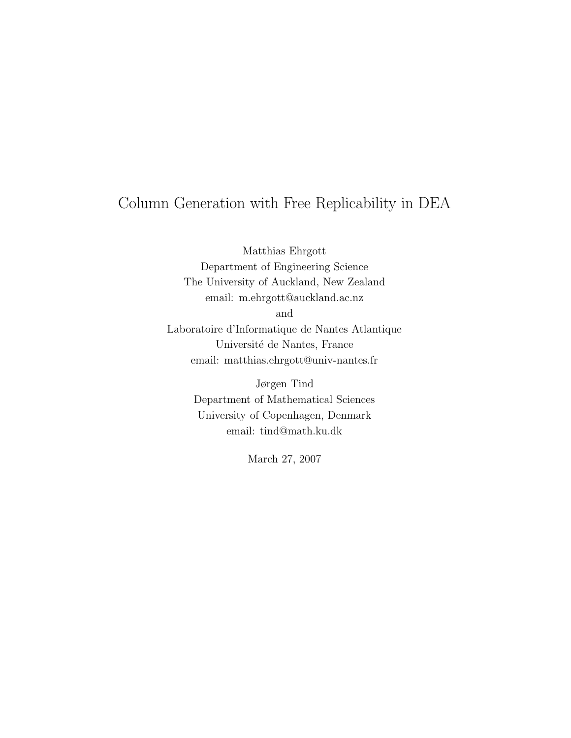# Column Generation with Free Replicability in DEA

Matthias Ehrgott Department of Engineering Science The University of Auckland, New Zealand email: m.ehrgott@auckland.ac.nz

and

Laboratoire d'Informatique de Nantes Atlantique Université de Nantes, France email: matthias.ehrgott@univ-nantes.fr

> Jørgen Tind Department of Mathematical Sciences University of Copenhagen, Denmark email: tind@math.ku.dk

> > March 27, 2007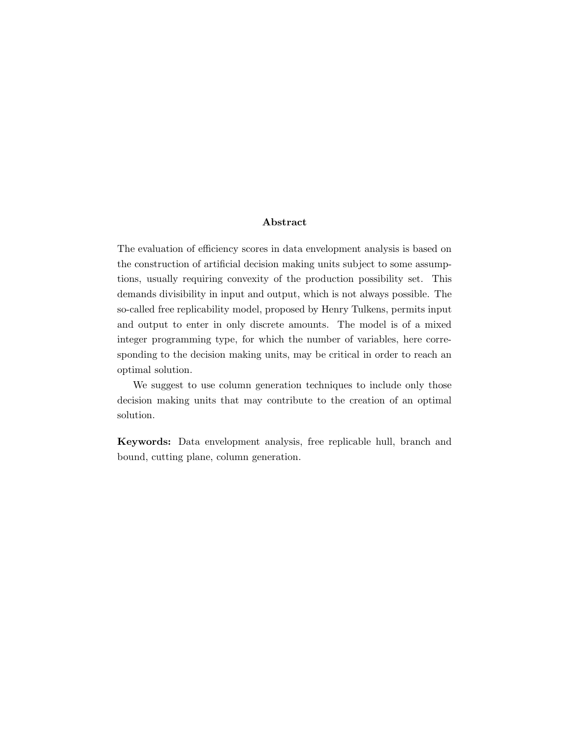# Abstract

The evaluation of efficiency scores in data envelopment analysis is based on the construction of artificial decision making units subject to some assumptions, usually requiring convexity of the production possibility set. This demands divisibility in input and output, which is not always possible. The so-called free replicability model, proposed by Henry Tulkens, permits input and output to enter in only discrete amounts. The model is of a mixed integer programming type, for which the number of variables, here corresponding to the decision making units, may be critical in order to reach an optimal solution.

We suggest to use column generation techniques to include only those decision making units that may contribute to the creation of an optimal solution.

Keywords: Data envelopment analysis, free replicable hull, branch and bound, cutting plane, column generation.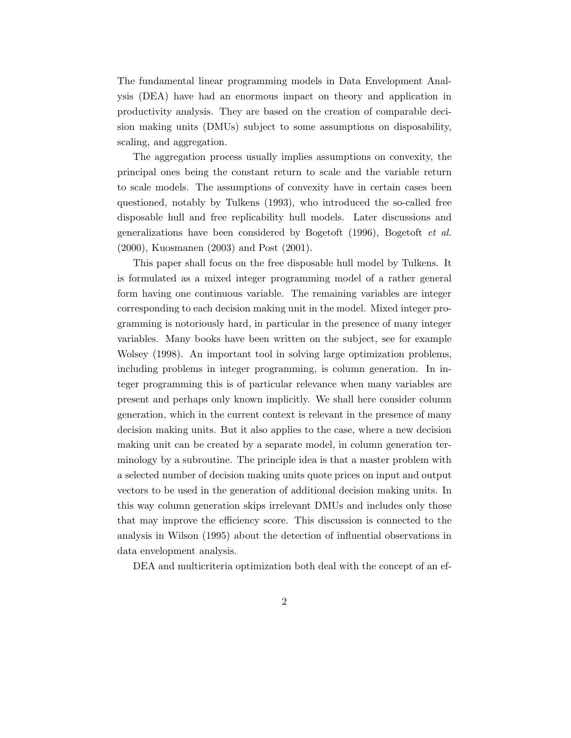The fundamental linear programming models in Data Envelopment Analysis (DEA) have had an enormous impact on theory and application in productivity analysis. They are based on the creation of comparable decision making units (DMUs) subject to some assumptions on disposability, scaling, and aggregation.

The aggregation process usually implies assumptions on convexity, the principal ones being the constant return to scale and the variable return to scale models. The assumptions of convexity have in certain cases been questioned, notably by Tulkens (1993), who introduced the so-called free disposable hull and free replicability hull models. Later discussions and generalizations have been considered by Bogetoft (1996), Bogetoft et al. (2000), Kuosmanen (2003) and Post (2001).

This paper shall focus on the free disposable hull model by Tulkens. It is formulated as a mixed integer programming model of a rather general form having one continuous variable. The remaining variables are integer corresponding to each decision making unit in the model. Mixed integer programming is notoriously hard, in particular in the presence of many integer variables. Many books have been written on the subject, see for example Wolsey (1998). An important tool in solving large optimization problems, including problems in integer programming, is column generation. In integer programming this is of particular relevance when many variables are present and perhaps only known implicitly. We shall here consider column generation, which in the current context is relevant in the presence of many decision making units. But it also applies to the case, where a new decision making unit can be created by a separate model, in column generation terminology by a subroutine. The principle idea is that a master problem with a selected number of decision making units quote prices on input and output vectors to be used in the generation of additional decision making units. In this way column generation skips irrelevant DMUs and includes only those that may improve the efficiency score. This discussion is connected to the analysis in Wilson (1995) about the detection of influential observations in data envelopment analysis.

DEA and multicriteria optimization both deal with the concept of an ef-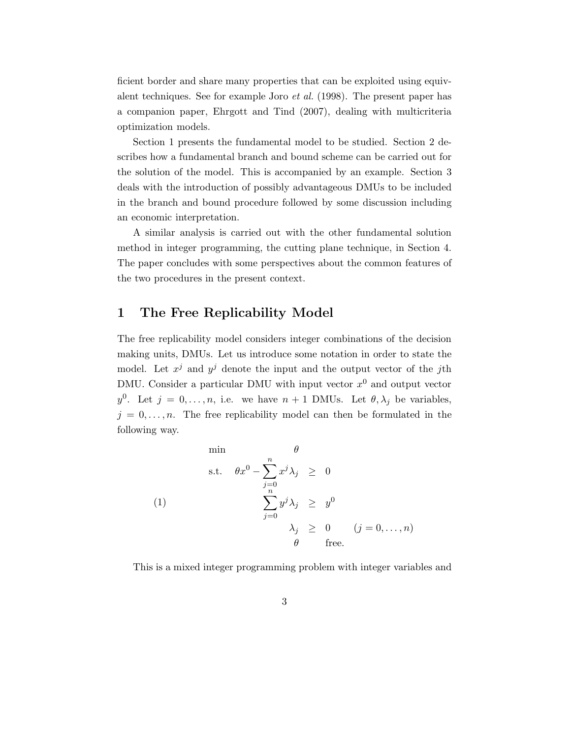ficient border and share many properties that can be exploited using equivalent techniques. See for example Joro et al. (1998). The present paper has a companion paper, Ehrgott and Tind (2007), dealing with multicriteria optimization models.

Section 1 presents the fundamental model to be studied. Section 2 describes how a fundamental branch and bound scheme can be carried out for the solution of the model. This is accompanied by an example. Section 3 deals with the introduction of possibly advantageous DMUs to be included in the branch and bound procedure followed by some discussion including an economic interpretation.

A similar analysis is carried out with the other fundamental solution method in integer programming, the cutting plane technique, in Section 4. The paper concludes with some perspectives about the common features of the two procedures in the present context.

# 1 The Free Replicability Model

The free replicability model considers integer combinations of the decision making units, DMUs. Let us introduce some notation in order to state the model. Let  $x^j$  and  $y^j$  denote the input and the output vector of the jth DMU. Consider a particular DMU with input vector  $x^0$  and output vector  $y^0$ . Let  $j = 0, \ldots, n$ , i.e. we have  $n + 1$  DMUs. Let  $\theta, \lambda_j$  be variables,  $j = 0, \ldots, n$ . The free replicability model can then be formulated in the following way.

$$
\begin{array}{rcl}\n\min & \theta \\
\text{s.t.} & \theta x^0 - \sum_{j=0}^n x^j \lambda_j \geq 0 \\
\sum_{j=0}^n y^j \lambda_j \geq y^0 \\
\lambda_j \geq 0 & (j = 0, ..., n) \\
\theta & \text{free.} \n\end{array}
$$

This is a mixed integer programming problem with integer variables and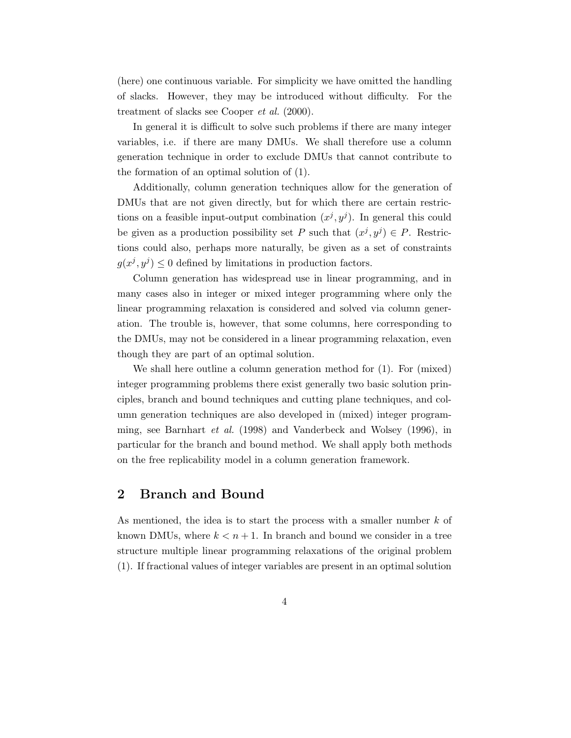(here) one continuous variable. For simplicity we have omitted the handling of slacks. However, they may be introduced without difficulty. For the treatment of slacks see Cooper et al. (2000).

In general it is difficult to solve such problems if there are many integer variables, i.e. if there are many DMUs. We shall therefore use a column generation technique in order to exclude DMUs that cannot contribute to the formation of an optimal solution of (1).

Additionally, column generation techniques allow for the generation of DMUs that are not given directly, but for which there are certain restrictions on a feasible input-output combination  $(x^j, y^j)$ . In general this could be given as a production possibility set P such that  $(x^j, y^j) \in P$ . Restrictions could also, perhaps more naturally, be given as a set of constraints  $g(x^j, y^j) \leq 0$  defined by limitations in production factors.

Column generation has widespread use in linear programming, and in many cases also in integer or mixed integer programming where only the linear programming relaxation is considered and solved via column generation. The trouble is, however, that some columns, here corresponding to the DMUs, may not be considered in a linear programming relaxation, even though they are part of an optimal solution.

We shall here outline a column generation method for (1). For (mixed) integer programming problems there exist generally two basic solution principles, branch and bound techniques and cutting plane techniques, and column generation techniques are also developed in (mixed) integer programming, see Barnhart et al. (1998) and Vanderbeck and Wolsey (1996), in particular for the branch and bound method. We shall apply both methods on the free replicability model in a column generation framework.

# 2 Branch and Bound

As mentioned, the idea is to start the process with a smaller number k of known DMUs, where  $k < n+1$ . In branch and bound we consider in a tree structure multiple linear programming relaxations of the original problem (1). If fractional values of integer variables are present in an optimal solution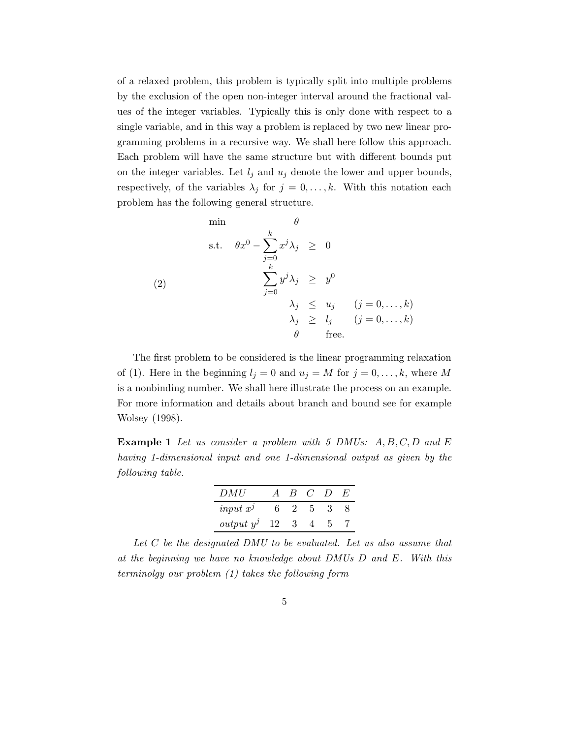of a relaxed problem, this problem is typically split into multiple problems by the exclusion of the open non-integer interval around the fractional values of the integer variables. Typically this is only done with respect to a single variable, and in this way a problem is replaced by two new linear programming problems in a recursive way. We shall here follow this approach. Each problem will have the same structure but with different bounds put on the integer variables. Let  $l_j$  and  $u_j$  denote the lower and upper bounds, respectively, of the variables  $\lambda_j$  for  $j = 0, \ldots, k$ . With this notation each problem has the following general structure.

$$
\begin{array}{rcl}\n\min & \theta \\
\text{s.t.} & \theta x^0 - \sum_{j=0}^k x^j \lambda_j \geq 0 \\
& & \sum_{j=0}^{k} y^j \lambda_j \geq y^0 \\
\lambda_j \leq u_j & (j = 0, \dots, k) \\
& & \lambda_j \geq l_j & (j = 0, \dots, k) \\
& & \theta \quad \text{free.} \n\end{array}
$$

The first problem to be considered is the linear programming relaxation of (1). Here in the beginning  $l_j = 0$  and  $u_j = M$  for  $j = 0, \ldots, k$ , where M is a nonbinding number. We shall here illustrate the process on an example. For more information and details about branch and bound see for example Wolsey (1998).

**Example 1** Let us consider a problem with 5 DMUs:  $A, B, C, D$  and E having 1-dimensional input and one 1-dimensional output as given by the following table.

| DMU          | $\vert B \vert$ | $\epsilon$ |  |
|--------------|-----------------|------------|--|
| input $x^j$  |                 |            |  |
| $output y^j$ |                 |            |  |

Let  $C$  be the designated DMU to be evaluated. Let us also assume that at the beginning we have no knowledge about DMUs D and E. With this terminolgy our problem (1) takes the following form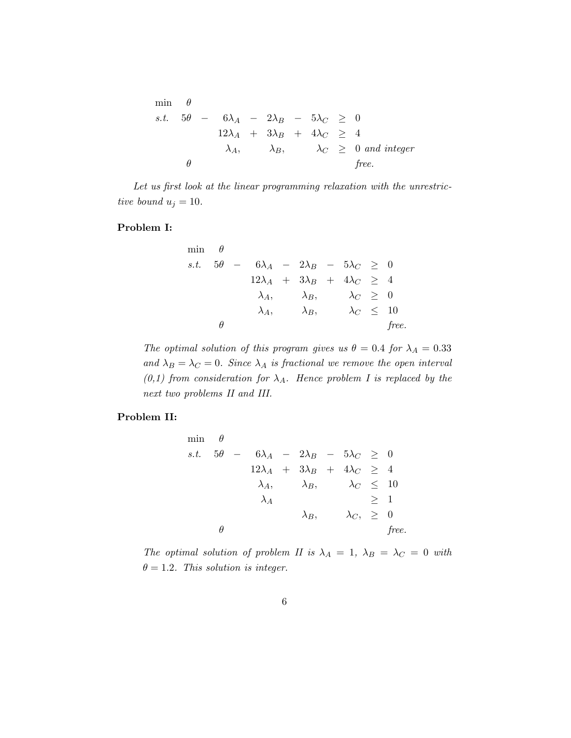$$
\min \theta
$$
\ns.t.  $5\theta - 6\lambda_A - 2\lambda_B - 5\lambda_C \ge 0$   
\n $12\lambda_A + 3\lambda_B + 4\lambda_C \ge 4$   
\n $\lambda_A, \quad \lambda_B, \quad \lambda_C \ge 0 \text{ and integer}$   
\n $\theta$  free.

Let us first look at the linear programming relaxation with the unrestrictive bound  $u_j = 10$ .

### Problem I:

$$
\min \theta
$$
\n*s.t.*  $5\theta - 6\lambda_A - 2\lambda_B - 5\lambda_C \ge 0$   
\n $12\lambda_A + 3\lambda_B + 4\lambda_C \ge 4$   
\n $\lambda_A, \quad \lambda_B, \quad \lambda_C \ge 0$   
\n $\lambda_A, \quad \lambda_B, \quad \lambda_C \le 10$   
\n $\theta$  free.

The optimal solution of this program gives us  $\theta = 0.4$  for  $\lambda_A = 0.33$ and  $\lambda_B = \lambda_C = 0$ . Since  $\lambda_A$  is fractional we remove the open interval  $(0,1)$  from consideration for  $\lambda_A$ . Hence problem I is replaced by the next two problems II and III.

### Problem II:

$$
\min \theta
$$
\n
$$
s.t. \quad 5\theta - 6\lambda_A - 2\lambda_B - 5\lambda_C \ge 0
$$
\n
$$
12\lambda_A + 3\lambda_B + 4\lambda_C \ge 4
$$
\n
$$
\lambda_A, \quad \lambda_B, \quad \lambda_C \le 10
$$
\n
$$
\lambda_A \qquad \lambda_B, \quad \lambda_C, \ge 0
$$
\n
$$
\theta
$$
\nfree.

The optimal solution of problem II is  $\lambda_A = 1$ ,  $\lambda_B = \lambda_C = 0$  with  $\theta = 1.2$ . This solution is integer.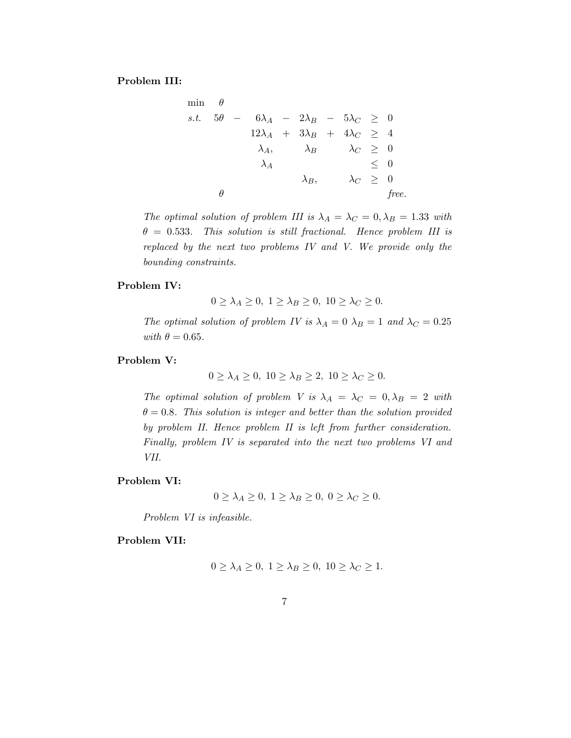#### Problem III:

$$
\min \theta
$$
\ns.t.  $5\theta - 6\lambda_A - 2\lambda_B - 5\lambda_C \ge 0$   
\n $12\lambda_A + 3\lambda_B + 4\lambda_C \ge 4$   
\n $\lambda_A$ ,  $\lambda_B$   $\lambda_C \ge 0$   
\n $\lambda_A$   $\le 0$   
\n $\lambda_B$ ,  $\lambda_C \ge 0$   
\n $\theta$  free.

The optimal solution of problem III is  $\lambda_A = \lambda_C = 0, \lambda_B = 1.33$  with  $\theta = 0.533$ . This solution is still fractional. Hence problem III is replaced by the next two problems IV and V. We provide only the bounding constraints.

#### Problem IV:

 $0 \geq \lambda_A \geq 0, \ 1 \geq \lambda_B \geq 0, \ 10 \geq \lambda_C \geq 0.$ 

The optimal solution of problem IV is  $\lambda_A = 0$   $\lambda_B = 1$  and  $\lambda_C = 0.25$ with  $\theta = 0.65$ .

### Problem V:

 $0 \geq \lambda_A \geq 0$ ,  $10 \geq \lambda_B \geq 2$ ,  $10 \geq \lambda_C \geq 0$ .

The optimal solution of problem V is  $\lambda_A = \lambda_C = 0, \lambda_B = 2$  with  $\theta = 0.8$ . This solution is integer and better than the solution provided by problem II. Hence problem II is left from further consideration. Finally, problem IV is separated into the next two problems VI and VII.

#### Problem VI:

$$
0 \ge \lambda_A \ge 0, \ 1 \ge \lambda_B \ge 0, \ 0 \ge \lambda_C \ge 0.
$$

Problem VI is infeasible.

### Problem VII:

$$
0 \ge \lambda_A \ge 0, \ 1 \ge \lambda_B \ge 0, \ 10 \ge \lambda_C \ge 1.
$$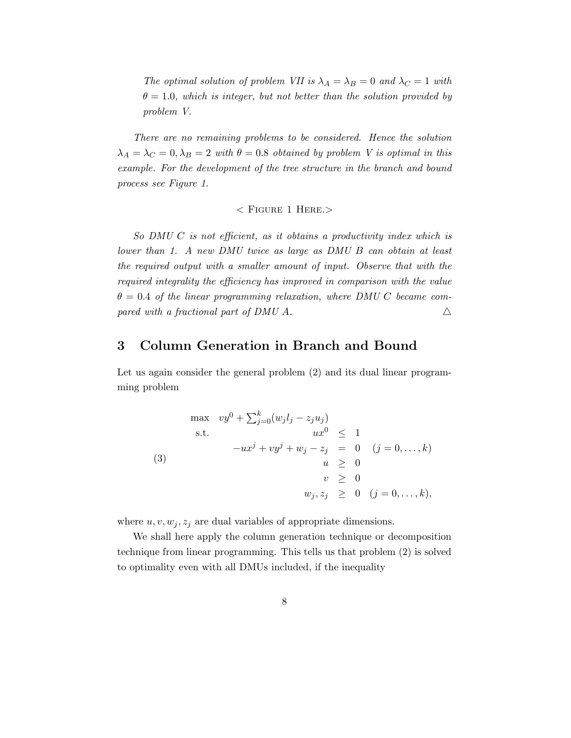The optimal solution of problem VII is  $\lambda_A = \lambda_B = 0$  and  $\lambda_C = 1$  with  $\theta = 1.0$ , which is integer, but not better than the solution provided by problem V.

There are no remaining problems to be considered. Hence the solution  $\lambda_A = \lambda_C = 0, \lambda_B = 2$  with  $\theta = 0.8$  obtained by problem V is optimal in this example. For the development of the tree structure in the branch and bound process see Figure 1.

 $<$  FIGURE 1 HERE. $>$ 

So DMU C is not efficient, as it obtains a productivity index which is lower than 1. A new DMU twice as large as DMU B can obtain at least the required output with a smaller amount of input. Observe that with the required integrality the efficiency has improved in comparison with the value  $\theta = 0.4$  of the linear programming relaxation, where DMU C became compared with a fractional part of DMU A.  $\triangle$ 

# 3 Column Generation in Branch and Bound

Let us again consider the general problem  $(2)$  and its dual linear programming problem

$$
\max \quad vy^{0} + \sum_{j=0}^{k} (w_{j}l_{j} - z_{j}u_{j})
$$
\n
$$
\text{s.t.} \quad \begin{aligned}\n &ux^{0} \leq 1 \\
 & -ux^{j} + vy^{j} + w_{j} - z_{j} = 0 \\
 & u \geq 0 \\
 & v \geq 0 \\
 & w_{j}, z_{j} \geq 0 \quad (j = 0, \dots, k),\n\end{aligned}
$$

where  $u, v, w_j, z_j$  are dual variables of appropriate dimensions.

We shall here apply the column generation technique or decomposition technique from linear programming. This tells us that problem (2) is solved to optimality even with all DMUs included, if the inequality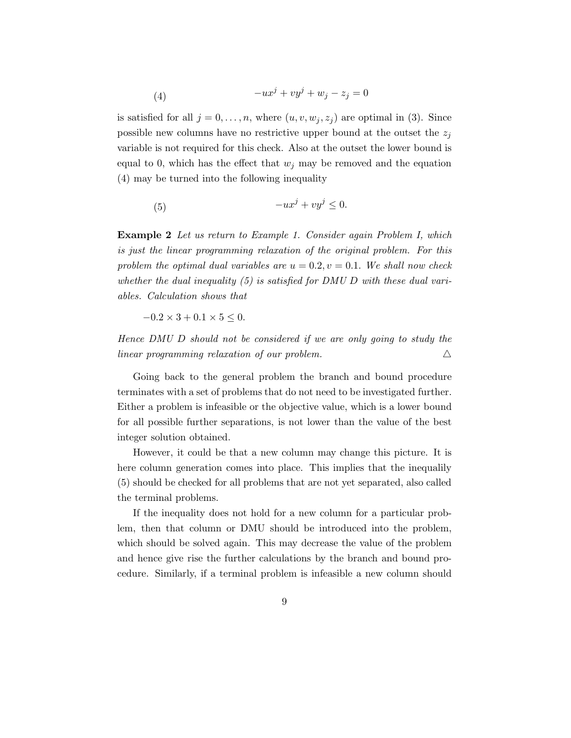$$
(4) \qquad \qquad -ux^j + vy^j + w_j - z_j = 0
$$

is satisfied for all  $j = 0, \ldots, n$ , where  $(u, v, w_j, z_j)$  are optimal in (3). Since possible new columns have no restrictive upper bound at the outset the  $z_j$ variable is not required for this check. Also at the outset the lower bound is equal to 0, which has the effect that  $w_j$  may be removed and the equation (4) may be turned into the following inequality

$$
(5) \t\t -ux^j + vy^j \leq 0.
$$

Example 2 Let us return to Example 1. Consider again Problem I, which is just the linear programming relaxation of the original problem. For this problem the optimal dual variables are  $u = 0.2, v = 0.1$ . We shall now check whether the dual inequality  $(5)$  is satisfied for DMU D with these dual variables. Calculation shows that

 $-0.2 \times 3 + 0.1 \times 5 \leq 0.$ 

Hence DMU D should not be considered if we are only going to study the  $linear programming relaxation of our problem.$ 

Going back to the general problem the branch and bound procedure terminates with a set of problems that do not need to be investigated further. Either a problem is infeasible or the objective value, which is a lower bound for all possible further separations, is not lower than the value of the best integer solution obtained.

However, it could be that a new column may change this picture. It is here column generation comes into place. This implies that the inequalily (5) should be checked for all problems that are not yet separated, also called the terminal problems.

If the inequality does not hold for a new column for a particular problem, then that column or DMU should be introduced into the problem, which should be solved again. This may decrease the value of the problem and hence give rise the further calculations by the branch and bound procedure. Similarly, if a terminal problem is infeasible a new column should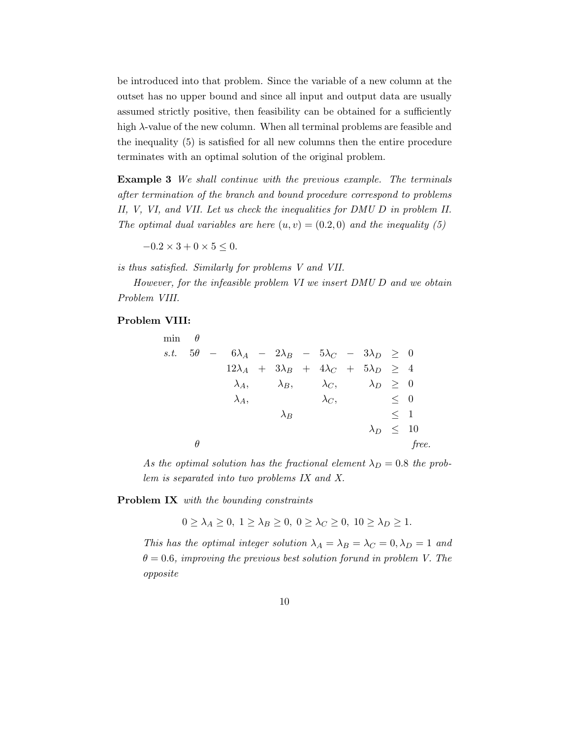be introduced into that problem. Since the variable of a new column at the outset has no upper bound and since all input and output data are usually assumed strictly positive, then feasibility can be obtained for a sufficiently high  $\lambda$ -value of the new column. When all terminal problems are feasible and the inequality (5) is satisfied for all new columns then the entire procedure terminates with an optimal solution of the original problem.

Example 3 We shall continue with the previous example. The terminals after termination of the branch and bound procedure correspond to problems II, V, VI, and VII. Let us check the inequalities for DMU D in problem II. The optimal dual variables are here  $(u, v) = (0.2, 0)$  and the inequality (5)

 $-0.2 \times 3 + 0 \times 5 \leq 0.$ 

is thus satisfied. Similarly for problems V and VII.

However, for the infeasible problem VI we insert DMU D and we obtain Problem VIII.

#### Problem VIII:

| min $\theta$     |   |                                                                   |             |              |                                                                  |             |       |
|------------------|---|-------------------------------------------------------------------|-------------|--------------|------------------------------------------------------------------|-------------|-------|
| s.t. $5\theta$ - |   |                                                                   |             |              | $6\lambda_A$ - $2\lambda_B$ - $5\lambda_C$ - $3\lambda_D \geq 0$ |             |       |
|                  |   | $12\lambda_A$ + $3\lambda_B$ + $4\lambda_C$ + $5\lambda_D \geq 4$ |             |              |                                                                  |             |       |
|                  |   | $\lambda_A,$                                                      |             |              | $\lambda_B, \qquad \lambda_C, \qquad \lambda_D \geq 0$           |             |       |
|                  |   | $\lambda_A,$                                                      |             | $\lambda_C,$ |                                                                  | $\langle 0$ |       |
|                  |   |                                                                   | $\lambda_B$ |              |                                                                  | $\leq$ 1    |       |
|                  |   |                                                                   |             |              | $\lambda_D \leq 10$                                              |             |       |
|                  | Ĥ |                                                                   |             |              |                                                                  |             | free. |

As the optimal solution has the fractional element  $\lambda_D = 0.8$  the problem is separated into two problems IX and X.

Problem IX with the bounding constraints

 $0 \geq \lambda_A \geq 0, 1 \geq \lambda_B \geq 0, 0 \geq \lambda_C \geq 0, 10 \geq \lambda_D \geq 1.$ 

This has the optimal integer solution  $\lambda_A = \lambda_B = \lambda_C = 0, \lambda_D = 1$  and  $\theta = 0.6$ , improving the previous best solution forund in problem V. The opposite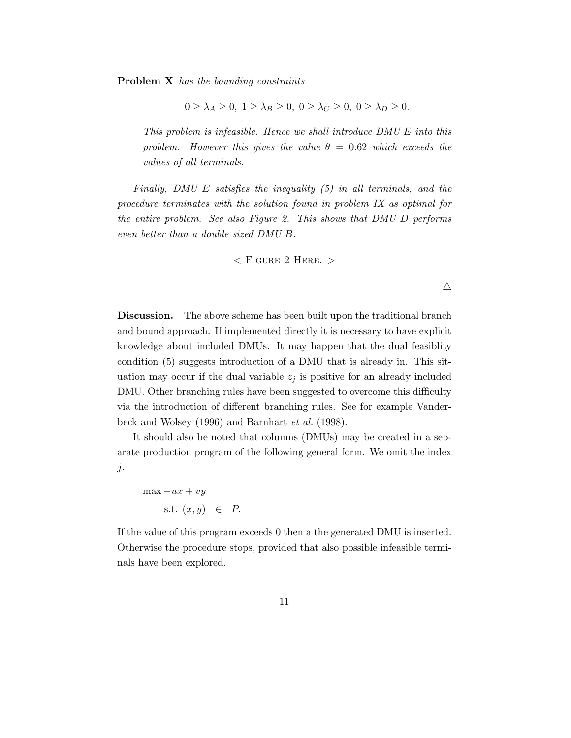Problem X has the bounding constraints

$$
0 \ge \lambda_A \ge 0, \ 1 \ge \lambda_B \ge 0, \ 0 \ge \lambda_C \ge 0, \ 0 \ge \lambda_D \ge 0.
$$

This problem is infeasible. Hence we shall introduce DMU E into this problem. However this gives the value  $\theta = 0.62$  which exceeds the values of all terminals.

Finally, DMU E satisfies the inequality (5) in all terminals, and the procedure terminates with the solution found in problem IX as optimal for the entire problem. See also Figure 2. This shows that DMU D performs even better than a double sized DMU B.

 $<$  FIGURE 2 HERE.  $>$ 

Discussion. The above scheme has been built upon the traditional branch and bound approach. If implemented directly it is necessary to have explicit knowledge about included DMUs. It may happen that the dual feasiblity condition (5) suggests introduction of a DMU that is already in. This situation may occur if the dual variable  $z_j$  is positive for an already included DMU. Other branching rules have been suggested to overcome this difficulty via the introduction of different branching rules. See for example Vanderbeck and Wolsey (1996) and Barnhart et al. (1998).

It should also be noted that columns (DMUs) may be created in a separate production program of the following general form. We omit the index  $j$ .

 $max -ux + vy$ s.t.  $(x, y) \in P$ .

If the value of this program exceeds 0 then a the generated DMU is inserted. Otherwise the procedure stops, provided that also possible infeasible terminals have been explored.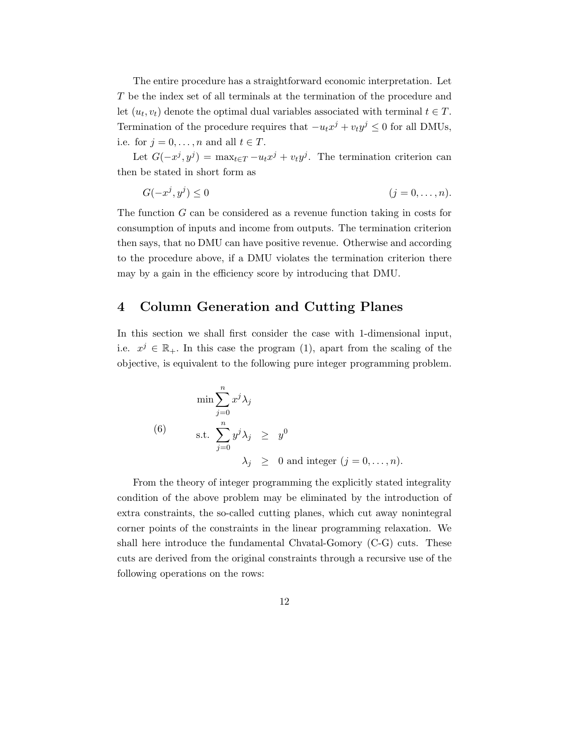The entire procedure has a straightforward economic interpretation. Let T be the index set of all terminals at the termination of the procedure and let  $(u_t, v_t)$  denote the optimal dual variables associated with terminal  $t \in T$ . Termination of the procedure requires that  $-u_t x^j + v_t y^j \leq 0$  for all DMUs, i.e. for  $j = 0, \ldots, n$  and all  $t \in T$ .

Let  $G(-x^j, y^j) = \max_{t \in T} -u_t x^j + v_t y^j$ . The termination criterion can then be stated in short form as

$$
G(-x^j, y^j) \le 0 \qquad (j = 0, \dots, n).
$$

The function G can be considered as a revenue function taking in costs for consumption of inputs and income from outputs. The termination criterion then says, that no DMU can have positive revenue. Otherwise and according to the procedure above, if a DMU violates the termination criterion there may by a gain in the efficiency score by introducing that DMU.

# 4 Column Generation and Cutting Planes

In this section we shall first consider the case with 1-dimensional input, i.e.  $x^j \in \mathbb{R}_+$ . In this case the program (1), apart from the scaling of the objective, is equivalent to the following pure integer programming problem.

$$
\min \sum_{j=0}^{n} x^{j} \lambda_{j}
$$
\n(6) s.t. 
$$
\sum_{j=0}^{n} y^{j} \lambda_{j} \geq y^{0}
$$
\n
$$
\lambda_{j} \geq 0 \text{ and integer } (j = 0, ..., n).
$$

From the theory of integer programming the explicitly stated integrality condition of the above problem may be eliminated by the introduction of extra constraints, the so-called cutting planes, which cut away nonintegral corner points of the constraints in the linear programming relaxation. We shall here introduce the fundamental Chvatal-Gomory (C-G) cuts. These cuts are derived from the original constraints through a recursive use of the following operations on the rows: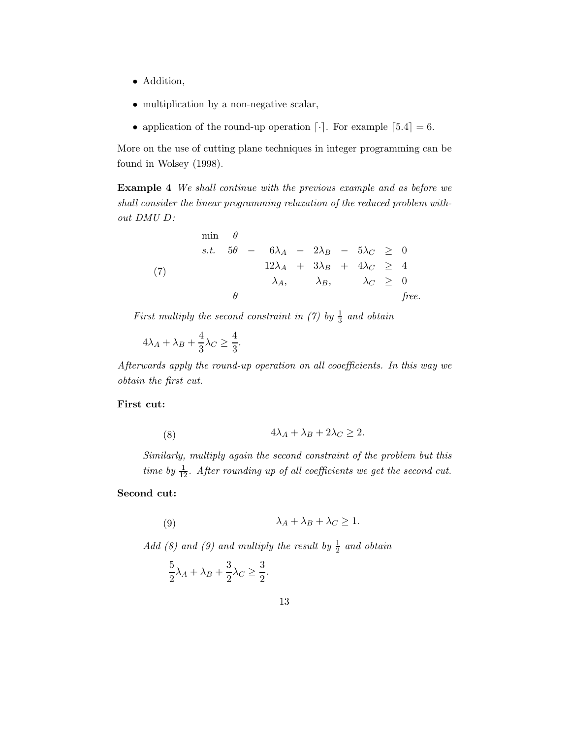- Addition,
- multiplication by a non-negative scalar,
- application of the round-up operation  $\lceil \cdot \rceil$ . For example  $\lceil 5.4 \rceil = 6$ .

More on the use of cutting plane techniques in integer programming can be found in Wolsey (1998).

Example 4 We shall continue with the previous example and as before we shall consider the linear programming relaxation of the reduced problem without DMU D:

$$
\begin{array}{rcl}\n\min & \theta \\
s.t. & 5\theta - 6\lambda_A - 2\lambda_B - 5\lambda_C \geq 0 \\
12\lambda_A + 3\lambda_B + 4\lambda_C \geq 4 \\
\lambda_A, & \lambda_B, & \lambda_C \geq 0 \\
\theta & \text{free.} \n\end{array}
$$

First multiply the second constraint in (7) by  $\frac{1}{3}$  and obtain

$$
4\lambda_A + \lambda_B + \frac{4}{3}\lambda_C \ge \frac{4}{3}.
$$

Afterwards apply the round-up operation on all cooefficients. In this way we obtain the first cut.

### First cut:

$$
(8) \t\t 4\lambda_A + \lambda_B + 2\lambda_C \ge 2.
$$

Similarly, multiply again the second constraint of the problem but this time by  $\frac{1}{12}$ . After rounding up of all coefficients we get the second cut.

### Second cut:

$$
\lambda_A + \lambda_B + \lambda_C \ge 1.
$$

Add (8) and (9) and multiply the result by  $\frac{1}{2}$  and obtain

$$
\frac{5}{2}\lambda_A + \lambda_B + \frac{3}{2}\lambda_C \ge \frac{3}{2}.
$$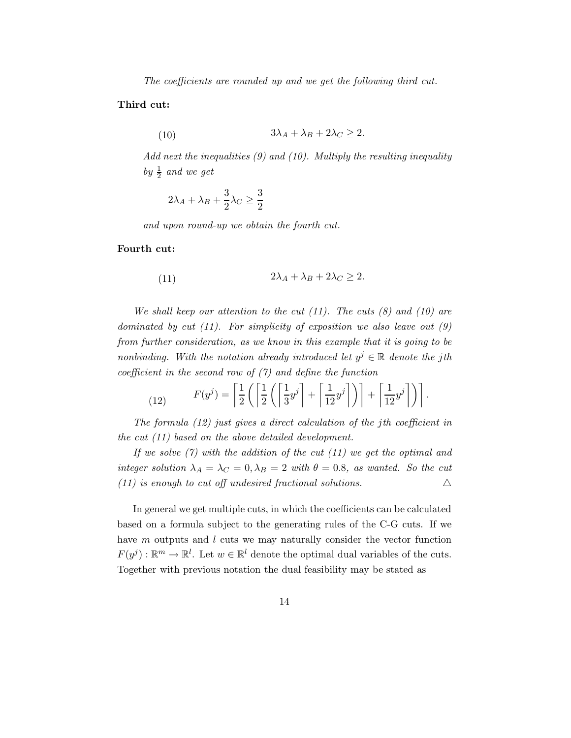The coefficients are rounded up and we get the following third cut.

#### Third cut:

(10) 
$$
3\lambda_A + \lambda_B + 2\lambda_C \geq 2.
$$

Add next the inequalities (9) and (10). Multiply the resulting inequality by  $\frac{1}{2}$  and we get

$$
2\lambda_A + \lambda_B + \frac{3}{2}\lambda_C \ge \frac{3}{2}
$$

and upon round-up we obtain the fourth cut.

#### Fourth cut:

(11) 
$$
2\lambda_A + \lambda_B + 2\lambda_C \geq 2.
$$

We shall keep our attention to the cut  $(11)$ . The cuts  $(8)$  and  $(10)$  are dominated by cut  $(11)$ . For simplicity of exposition we also leave out  $(9)$ from further consideration, as we know in this example that it is going to be nonbinding. With the notation already introduced let  $y^j \in \mathbb{R}$  denote the jth coefficient in the second row of  $(7)$  and define the function

(12) 
$$
F(y^j) = \left[\frac{1}{2}\left(\left[\frac{1}{2}\left(\left[\frac{1}{3}y^j\right] + \left[\frac{1}{12}y^j\right]\right)\right] + \left[\frac{1}{12}y^j\right]\right)\right].
$$

The formula (12) just gives a direct calculation of the jth coefficient in the cut (11) based on the above detailed development.

If we solve  $(7)$  with the addition of the cut  $(11)$  we get the optimal and integer solution  $\lambda_A = \lambda_C = 0$ ,  $\lambda_B = 2$  with  $\theta = 0.8$ , as wanted. So the cut (11) is enough to cut off undesired fractional solutions.  $\Delta$ 

In general we get multiple cuts, in which the coefficients can be calculated based on a formula subject to the generating rules of the C-G cuts. If we have m outputs and l cuts we may naturally consider the vector function  $F(y^j): \mathbb{R}^m \to \mathbb{R}^l$ . Let  $w \in \mathbb{R}^l$  denote the optimal dual variables of the cuts. Together with previous notation the dual feasibility may be stated as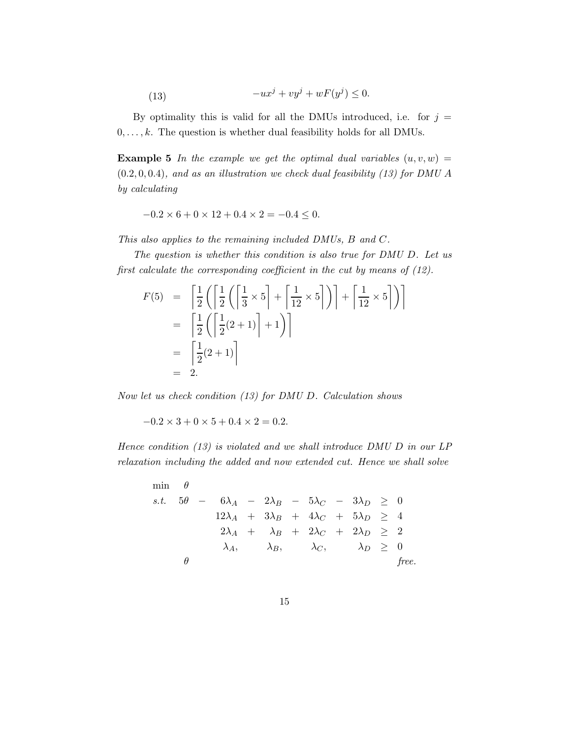(13) 
$$
-ux^j + vy^j + wF(y^j) \leq 0.
$$

By optimality this is valid for all the DMUs introduced, i.e. for  $j =$  $0, \ldots, k$ . The question is whether dual feasibility holds for all DMUs.

**Example 5** In the example we get the optimal dual variables  $(u, v, w) =$  $(0.2, 0, 0.4)$ , and as an illustration we check dual feasibility (13) for DMU A by calculating

$$
-0.2 \times 6 + 0 \times 12 + 0.4 \times 2 = -0.4 \le 0.
$$

This also applies to the remaining included DMUs, B and C.

The question is whether this condition is also true for DMU D. Let us first calculate the corresponding coefficient in the cut by means of (12).

$$
F(5) = \left[\frac{1}{2}\left(\left[\frac{1}{2}\left(\left[\frac{1}{3}\times 5\right] + \left[\frac{1}{12}\times 5\right]\right)\right] + \left[\frac{1}{12}\times 5\right]\right)\right]
$$

$$
= \left[\frac{1}{2}\left(\left[\frac{1}{2}(2+1)\right] + 1\right)\right]
$$

$$
= \left[\frac{1}{2}(2+1)\right]
$$

$$
= 2.
$$

Now let us check condition (13) for DMU D. Calculation shows

 $-0.2 \times 3 + 0 \times 5 + 0.4 \times 2 = 0.2$ .

Hence condition (13) is violated and we shall introduce DMU D in our LP relaxation including the added and now extended cut. Hence we shall solve

$$
\begin{array}{rcl}\n\min & \theta \\
s.t. & 5\theta - 6\lambda_A - 2\lambda_B - 5\lambda_C - 3\lambda_D \ge 0 \\
& 12\lambda_A + 3\lambda_B + 4\lambda_C + 5\lambda_D \ge 4 \\
& 2\lambda_A + \lambda_B + 2\lambda_C + 2\lambda_D \ge 2 \\
& \lambda_A, \quad \lambda_B, \quad \lambda_C, \quad \lambda_D \ge 0 \\
& \text{free.} \n\end{array}
$$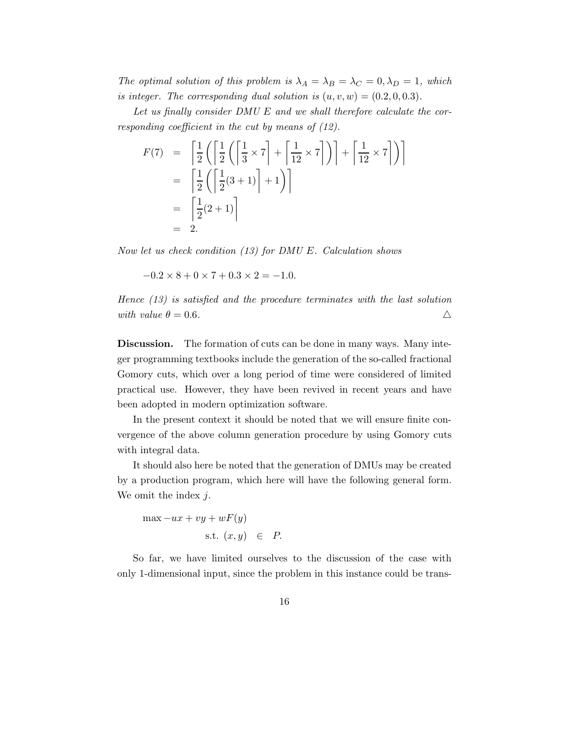The optimal solution of this problem is  $\lambda_A = \lambda_B = \lambda_C = 0, \lambda_D = 1$ , which is integer. The corresponding dual solution is  $(u, v, w) = (0.2, 0, 0.3)$ .

Let us finally consider  $DMU E$  and we shall therefore calculate the corresponding coefficient in the cut by means of (12).

$$
F(7) = \left[ \frac{1}{2} \left( \left[ \frac{1}{2} \left( \left[ \frac{1}{3} \times 7 \right] + \left[ \frac{1}{12} \times 7 \right] \right) \right] + \left[ \frac{1}{12} \times 7 \right] \right) \right]
$$
  
= 
$$
\left[ \frac{1}{2} \left( \left[ \frac{1}{2} (3+1) \right] + 1 \right) \right]
$$
  
= 
$$
\left[ \frac{1}{2} (2+1) \right]
$$
  
= 2.

Now let us check condition (13) for DMU E. Calculation shows

 $-0.2 \times 8 + 0 \times 7 + 0.3 \times 2 = -1.0$ .

Hence (13) is satisfied and the procedure terminates with the last solution with value  $\theta = 0.6$ .

Discussion. The formation of cuts can be done in many ways. Many integer programming textbooks include the generation of the so-called fractional Gomory cuts, which over a long period of time were considered of limited practical use. However, they have been revived in recent years and have been adopted in modern optimization software.

In the present context it should be noted that we will ensure finite convergence of the above column generation procedure by using Gomory cuts with integral data.

It should also here be noted that the generation of DMUs may be created by a production program, which here will have the following general form. We omit the index  $j$ .

$$
\max -ux + vy + wF(y)
$$
  
s.t.  $(x, y) \in$ 

So far, we have limited ourselves to the discussion of the case with only 1-dimensional input, since the problem in this instance could be trans-

 $P$ .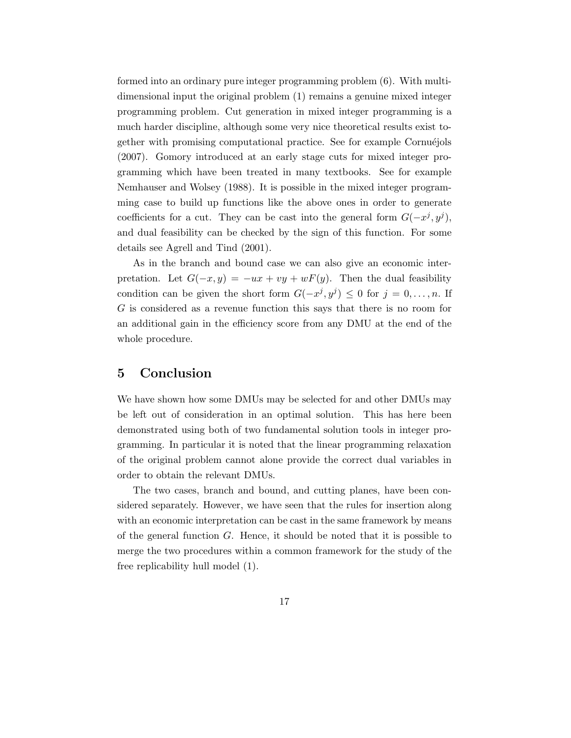formed into an ordinary pure integer programming problem (6). With multidimensional input the original problem (1) remains a genuine mixed integer programming problem. Cut generation in mixed integer programming is a much harder discipline, although some very nice theoretical results exist together with promising computational practice. See for example Cornuéjols (2007). Gomory introduced at an early stage cuts for mixed integer programming which have been treated in many textbooks. See for example Nemhauser and Wolsey (1988). It is possible in the mixed integer programming case to build up functions like the above ones in order to generate coefficients for a cut. They can be cast into the general form  $G(-x^j, y^j)$ , and dual feasibility can be checked by the sign of this function. For some details see Agrell and Tind (2001).

As in the branch and bound case we can also give an economic interpretation. Let  $G(-x, y) = -ux + vy + wF(y)$ . Then the dual feasibility condition can be given the short form  $G(-x^j, y^j) \leq 0$  for  $j = 0, \ldots, n$ . If G is considered as a revenue function this says that there is no room for an additional gain in the efficiency score from any DMU at the end of the whole procedure.

# 5 Conclusion

We have shown how some DMUs may be selected for and other DMUs may be left out of consideration in an optimal solution. This has here been demonstrated using both of two fundamental solution tools in integer programming. In particular it is noted that the linear programming relaxation of the original problem cannot alone provide the correct dual variables in order to obtain the relevant DMUs.

The two cases, branch and bound, and cutting planes, have been considered separately. However, we have seen that the rules for insertion along with an economic interpretation can be cast in the same framework by means of the general function  $G$ . Hence, it should be noted that it is possible to merge the two procedures within a common framework for the study of the free replicability hull model (1).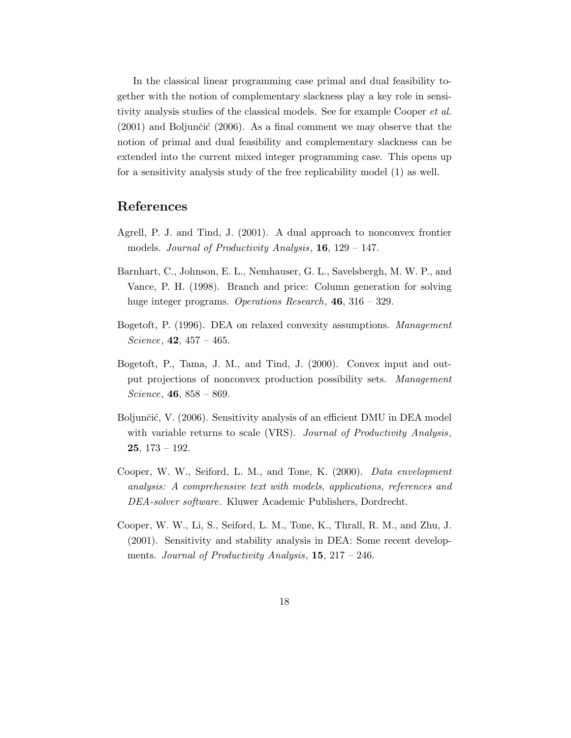In the classical linear programming case primal and dual feasibility together with the notion of complementary slackness play a key role in sensitivity analysis studies of the classical models. See for example Cooper *et al.*  $(2001)$  and Boljunčić  $(2006)$ . As a final comment we may observe that the notion of primal and dual feasibility and complementary slackness can be extended into the current mixed integer programming case. This opens up for a sensitivity analysis study of the free replicability model (1) as well.

# References

- Agrell, P. J. and Tind, J. (2001). A dual approach to nonconvex frontier models. Journal of Productivity Analysis,  $16$ ,  $129 - 147$ .
- Barnhart, C., Johnson, E. L., Nemhauser, G. L., Savelsbergh, M. W. P., and Vance, P. H. (1998). Branch and price: Column generation for solving huge integer programs. Operations Research, **46**, 316 – 329.
- Bogetoft, P. (1996). DEA on relaxed convexity assumptions. Management Science,  $42, 457 - 465$ .
- Bogetoft, P., Tama, J. M., and Tind, J. (2000). Convex input and output projections of nonconvex production possibility sets. Management Science, 46, 858 – 869.
- Boljunčić, V. (2006). Sensitivity analysis of an efficient DMU in DEA model with variable returns to scale (VRS). *Journal of Productivity Analysis*,  $25, 173 - 192.$
- Cooper, W. W., Seiford, L. M., and Tone, K. (2000). Data envelopment analysis: A comprehensive text with models, applications, references and DEA-solver software. Kluwer Academic Publishers, Dordrecht.
- Cooper, W. W., Li, S., Seiford, L. M., Tone, K., Thrall, R. M., and Zhu, J. (2001). Sensitivity and stability analysis in DEA: Some recent developments. Journal of Productivity Analysis,  $15$ ,  $217 - 246$ .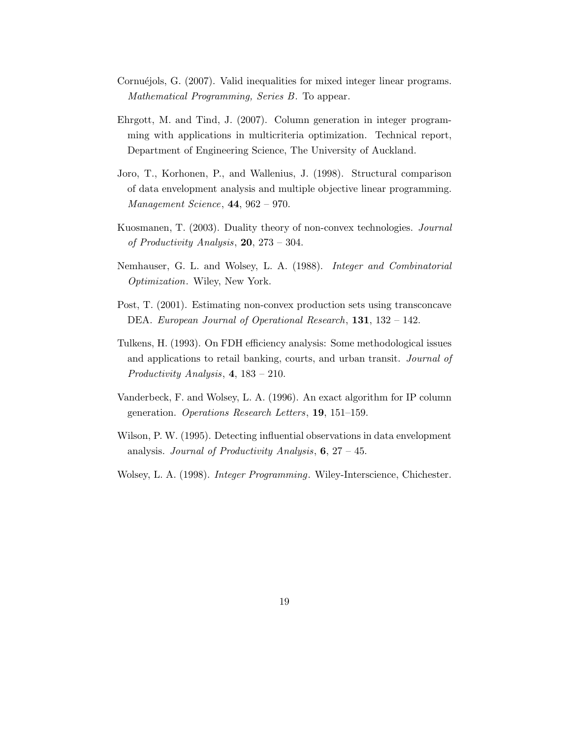- Cornuéjols, G. (2007). Valid inequalities for mixed integer linear programs. Mathematical Programming, Series B. To appear.
- Ehrgott, M. and Tind, J. (2007). Column generation in integer programming with applications in multicriteria optimization. Technical report, Department of Engineering Science, The University of Auckland.
- Joro, T., Korhonen, P., and Wallenius, J. (1998). Structural comparison of data envelopment analysis and multiple objective linear programming. Management Science, 44, 962 – 970.
- Kuosmanen, T. (2003). Duality theory of non-convex technologies. Journal of Productivity Analysis,  $20$ ,  $273 - 304$ .
- Nemhauser, G. L. and Wolsey, L. A. (1988). Integer and Combinatorial Optimization. Wiley, New York.
- Post, T. (2001). Estimating non-convex production sets using transconcave DEA. European Journal of Operational Research, 131, 132 – 142.
- Tulkens, H. (1993). On FDH efficiency analysis: Some methodological issues and applications to retail banking, courts, and urban transit. Journal of Productivity Analysis, 4, 183 – 210.
- Vanderbeck, F. and Wolsey, L. A. (1996). An exact algorithm for IP column generation. Operations Research Letters, 19, 151–159.
- Wilson, P. W. (1995). Detecting influential observations in data envelopment analysis. Journal of Productivity Analysis,  $6, 27 - 45$ .
- Wolsey, L. A. (1998). *Integer Programming*. Wiley-Interscience, Chichester.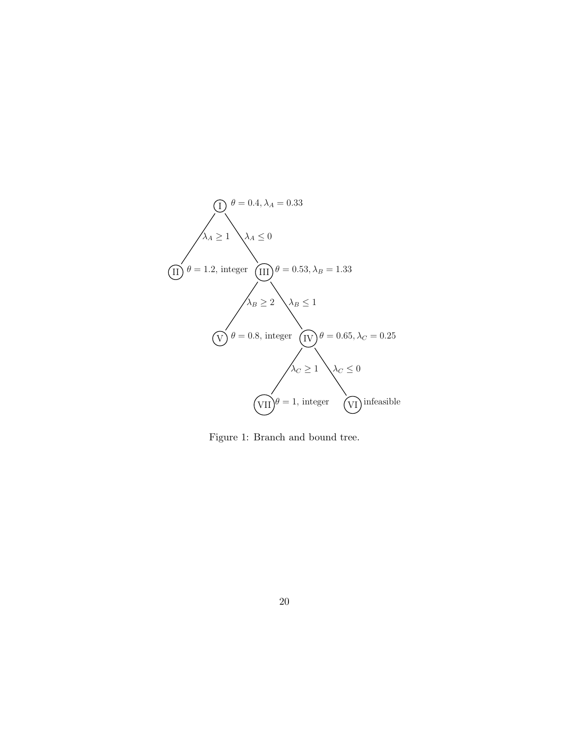

Figure 1: Branch and bound tree.